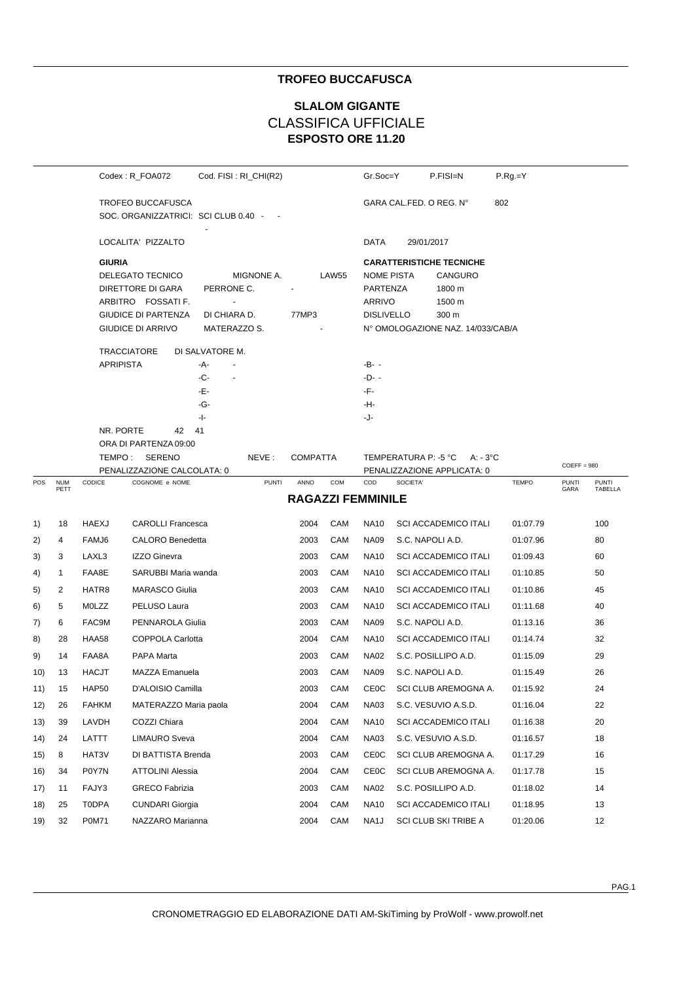## **TROFEO BUCCAFUSCA**

## **ESPOSTO ORE 11.20 SLALOM GIGANTE** CLASSIFICA UFFICIALE

|     |              |                  | Codex: R_FOA072                                           | Cod. FISI: RI_CHI(R2)        |                          |                                   | Gr.Soc=Y           |                                         | P.FISI=N         | $P.Rg = Y$   |               |              |  |
|-----|--------------|------------------|-----------------------------------------------------------|------------------------------|--------------------------|-----------------------------------|--------------------|-----------------------------------------|------------------|--------------|---------------|--------------|--|
|     |              |                  | TROFEO BUCCAFUSCA<br>SOC. ORGANIZZATRICI: SCI CLUB 0.40 - |                              |                          |                                   |                    | GARA CAL FED. O REG. N°                 |                  | 802          |               |              |  |
|     |              |                  | LOCALITA' PIZZALTO                                        |                              |                          |                                   | DATA               | 29/01/2017                              |                  |              |               |              |  |
|     |              |                  | <b>GIURIA</b>                                             |                              |                          |                                   |                    | <b>CARATTERISTICHE TECNICHE</b>         |                  |              |               |              |  |
|     |              |                  | DELEGATO TECNICO                                          | MIGNONE A.                   |                          | LAW55                             | <b>NOME PISTA</b>  |                                         | CANGURO          |              |               |              |  |
|     |              |                  | DIRETTORE DI GARA<br>ARBITRO FOSSATI F.                   | PERRONE C.<br>$\blacksquare$ |                          |                                   | PARTENZA<br>ARRIVO |                                         | 1800 m<br>1500 m |              |               |              |  |
|     |              |                  | <b>GIUDICE DI PARTENZA</b>                                | DI CHIARA D.                 | 77MP3                    |                                   | <b>DISLIVELLO</b>  |                                         | 300 m            |              |               |              |  |
|     |              |                  | GIUDICE DI ARRIVO                                         | MATERAZZO S.                 |                          | N° OMOLOGAZIONE NAZ. 14/033/CAB/A |                    |                                         |                  |              |               |              |  |
|     |              |                  | <b>TRACCIATORE</b>                                        | DI SALVATORE M.              |                          |                                   |                    |                                         |                  |              |               |              |  |
|     |              | <b>APRIPISTA</b> |                                                           | -A-                          |                          |                                   | $-B- -$            |                                         |                  |              |               |              |  |
|     |              |                  |                                                           | -C-<br>÷,                    |                          |                                   | -D- -              |                                         |                  |              |               |              |  |
|     |              |                  |                                                           | -Е-                          |                          |                                   | -F-                |                                         |                  |              |               |              |  |
|     |              |                  |                                                           | -G-<br>-1-                   |                          |                                   | -H-<br>-J-         |                                         |                  |              |               |              |  |
|     |              | NR. PORTE        | 42                                                        | 41                           |                          |                                   |                    |                                         |                  |              |               |              |  |
|     |              |                  | ORA DI PARTENZA 09:00                                     |                              |                          |                                   |                    |                                         |                  |              |               |              |  |
|     |              |                  | TEMPO: SERENO                                             | NEVE:                        | <b>COMPATTA</b>          |                                   |                    | TEMPERATURA P: -5 °C A: - 3°C           |                  |              | $COEFF = 980$ |              |  |
| POS | <b>NUM</b>   | CODICE           | PENALIZZAZIONE CALCOLATA: 0<br>COGNOME e NOME             | <b>PUNTI</b>                 | ANNO                     | COM                               | COD                | PENALIZZAZIONE APPLICATA: 0<br>SOCIETA' |                  | <b>TEMPO</b> | <b>PUNTI</b>  | <b>PUNTI</b> |  |
|     | PETT         |                  |                                                           |                              | <b>RAGAZZI FEMMINILE</b> |                                   |                    |                                         |                  |              | GARA          | TABELLA      |  |
| 1)  | 18           | <b>HAEXJ</b>     | <b>CAROLLI Francesca</b>                                  |                              | 2004                     | CAM                               | <b>NA10</b>        | <b>SCI ACCADEMICO ITALI</b>             |                  | 01:07.79     |               | 100          |  |
| 2)  | 4            | FAMJ6            | <b>CALORO</b> Benedetta                                   |                              | 2003                     | CAM                               | <b>NA09</b>        | S.C. NAPOLI A.D.                        |                  | 01:07.96     |               | 80           |  |
| 3)  | 3            | LAXL3            | IZZO Ginevra                                              |                              | 2003                     | CAM                               | <b>NA10</b>        | <b>SCI ACCADEMICO ITALI</b>             |                  | 01:09.43     |               | 60           |  |
| 4)  | $\mathbf{1}$ | FAA8E            | SARUBBI Maria wanda                                       |                              | 2003                     | CAM                               | <b>NA10</b>        | <b>SCI ACCADEMICO ITALI</b>             |                  | 01:10.85     |               | 50           |  |
| 5)  | 2            | HATR8            | <b>MARASCO Giulia</b>                                     |                              | 2003                     | CAM                               | <b>NA10</b>        | <b>SCI ACCADEMICO ITALI</b>             |                  | 01:10.86     |               | 45           |  |
| 6)  | 5            | MOLZZ            | PELUSO Laura                                              |                              | 2003                     | CAM                               | <b>NA10</b>        | <b>SCI ACCADEMICO ITALI</b>             |                  | 01:11.68     |               | 40           |  |
| 7)  | 6            | FAC9M            | PENNAROLA Giulia                                          |                              | 2003                     | CAM                               | <b>NA09</b>        | S.C. NAPOLI A.D.                        |                  | 01:13.16     |               | 36           |  |
| 8)  | 28           | HAA58            | COPPOLA Carlotta                                          |                              | 2004                     | CAM                               | <b>NA10</b>        | <b>SCI ACCADEMICO ITALI</b>             |                  | 01:14.74     |               | 32           |  |
| 9)  | 14           | FAA8A            | PAPA Marta                                                |                              | 2003                     | CAM                               | <b>NA02</b>        | S.C. POSILLIPO A.D.                     |                  | 01:15.09     |               | 29           |  |
| 10) | 13           | <b>HACJT</b>     | <b>MAZZA Emanuela</b>                                     |                              | 2003                     | CAM                               | <b>NA09</b>        | S.C. NAPOLI A.D.                        |                  | 01:15.49     |               | 26           |  |
| 11) | 15           | HAP50            | D'ALOISIO Camilla                                         |                              | 2003                     | CAM                               | CEOC               | SCI CLUB AREMOGNA A.                    |                  | 01:15.92     |               | 24           |  |
| 12) | 26           | <b>FAHKM</b>     | MATERAZZO Maria paola                                     |                              | 2004                     | CAM                               | <b>NA03</b>        | S.C. VESUVIO A.S.D.                     |                  | 01:16.04     |               | 22           |  |
| 13) | 39           | LAVDH            | COZZI Chiara                                              |                              | 2004                     | CAM                               | <b>NA10</b>        | <b>SCI ACCADEMICO ITALI</b>             |                  | 01:16.38     |               | 20           |  |
| 14) | 24           | LATTT            | <b>LIMAURO Sveva</b>                                      |                              | 2004                     | CAM                               | <b>NA03</b>        | S.C. VESUVIO A.S.D.                     |                  | 01:16.57     |               | 18           |  |
| 15) | 8            | HAT3V            | DI BATTISTA Brenda                                        |                              | 2003                     | CAM                               | <b>CE0C</b>        | SCI CLUB AREMOGNA A.                    |                  | 01:17.29     |               | 16           |  |
| 16) | 34           | P0Y7N            | <b>ATTOLINI Alessia</b>                                   |                              | 2004                     | CAM                               | <b>CE0C</b>        | SCI CLUB AREMOGNA A.                    |                  | 01:17.78     |               | 15           |  |
| 17) | 11           | FAJY3            | <b>GRECO Fabrizia</b>                                     |                              | 2003                     | CAM                               | <b>NA02</b>        | S.C. POSILLIPO A.D.                     |                  | 01:18.02     |               | 14           |  |
| 18) | 25           | T0DPA            | <b>CUNDARI Giorgia</b>                                    |                              | 2004                     | CAM                               | <b>NA10</b>        | <b>SCI ACCADEMICO ITALI</b>             |                  | 01:18.95     |               | 13           |  |
| 19) | 32           | P0M71            | NAZZARO Marianna                                          |                              | 2004                     | CAM                               | NA <sub>1</sub> J  | SCI CLUB SKI TRIBE A                    |                  | 01:20.06     |               | 12           |  |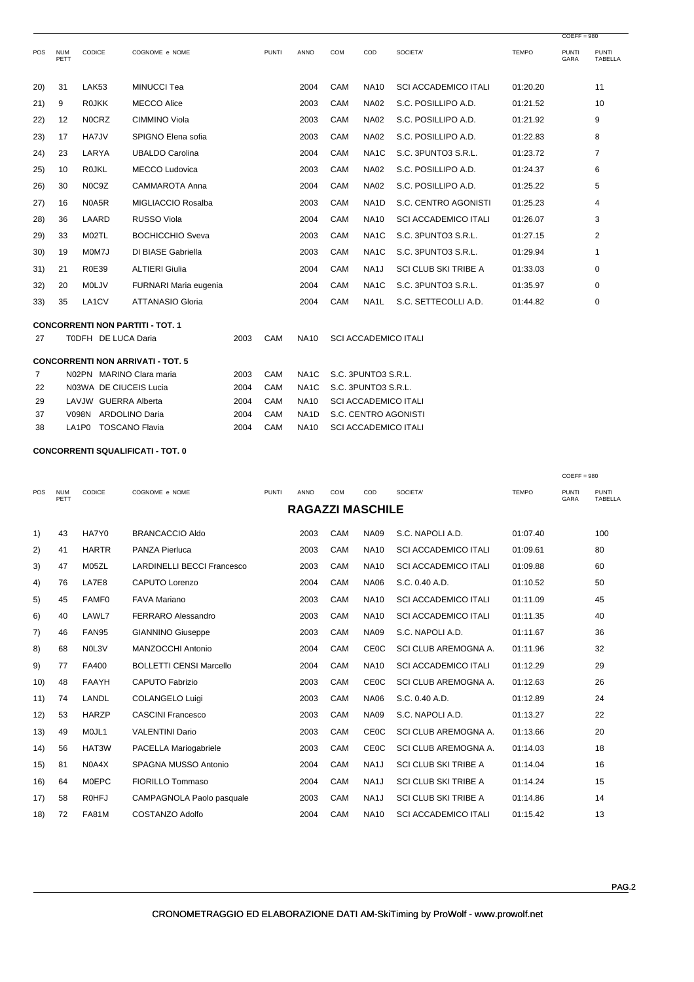|      |                     |                        |                                          |      |              |                   |                             |                     |                             |              | $COEFF = 980$        |                                |  |
|------|---------------------|------------------------|------------------------------------------|------|--------------|-------------------|-----------------------------|---------------------|-----------------------------|--------------|----------------------|--------------------------------|--|
| POS  | <b>NUM</b><br>PETT  | <b>CODICE</b>          | COGNOME e NOME                           |      | <b>PUNTI</b> | <b>ANNO</b>       | <b>COM</b>                  | COD                 | SOCIETA'                    | <b>TEMPO</b> | <b>PUNTI</b><br>GARA | <b>PUNTI</b><br><b>TABELLA</b> |  |
| (20) | 31                  | <b>LAK53</b>           | <b>MINUCCI Tea</b>                       |      |              | 2004              | CAM                         | <b>NA10</b>         | <b>SCI ACCADEMICO ITALI</b> | 01:20.20     |                      | 11                             |  |
| 21)  | 9                   | <b>ROJKK</b>           | <b>MECCO Alice</b>                       |      |              | 2003              | CAM                         | <b>NA02</b>         | S.C. POSILLIPO A.D.         | 01:21.52     |                      | 10                             |  |
| 22)  | 12                  | <b>NOCRZ</b>           | CIMMINO Viola                            |      |              | 2003              | CAM                         | <b>NA02</b>         | S.C. POSILLIPO A.D.         | 01:21.92     |                      | 9                              |  |
| 23)  | 17                  | HA7JV                  | SPIGNO Elena sofia                       |      |              | 2003              | CAM                         | <b>NA02</b>         | S.C. POSILLIPO A.D.         | 01:22.83     |                      | 8                              |  |
| (24) | 23                  | LARYA                  | <b>UBALDO Carolina</b>                   |      |              | 2004              | CAM                         | NA <sub>1</sub> C   | S.C. 3PUNTO3 S.R.L.         | 01:23.72     |                      | 7                              |  |
| 25)  | 10                  | <b>ROJKL</b>           | <b>MECCO Ludovica</b>                    |      |              | 2003              | CAM                         | <b>NA02</b>         | S.C. POSILLIPO A.D.         | 01:24.37     |                      | 6                              |  |
| 26)  | 30                  | N0C9Z                  | CAMMAROTA Anna                           |      |              | 2004              | CAM                         | <b>NA02</b>         | S.C. POSILLIPO A.D.         | 01:25.22     |                      | 5                              |  |
| 27)  | 16                  | N0A5R                  | MIGLIACCIO Rosalba                       |      |              | 2003              | CAM                         | NA <sub>1</sub> D   | S.C. CENTRO AGONISTI        | 01:25.23     |                      | 4                              |  |
| 28)  | 36                  | LAARD                  | <b>RUSSO Viola</b>                       |      |              | 2004              | CAM                         | <b>NA10</b>         | <b>SCI ACCADEMICO ITALI</b> | 01:26.07     |                      | 3                              |  |
| 29)  | 33                  | M02TL                  | <b>BOCHICCHIO Sveva</b>                  |      |              | 2003              | CAM                         | NA <sub>1</sub> C   | S.C. 3PUNTO3 S.R.L.         | 01:27.15     |                      | 2                              |  |
| 30)  | 19                  | M0M7J                  | DI BIASE Gabriella                       |      |              | 2003              | CAM                         | NA <sub>1</sub> C   | S.C. 3PUNTO3 S.R.L.         | 01:29.94     |                      | 1                              |  |
| 31)  | 21                  | <b>R0E39</b>           | <b>ALTIERI Giulia</b>                    |      |              | 2004              | CAM                         | NA <sub>1</sub> J   | <b>SCI CLUB SKI TRIBE A</b> | 01:33.03     |                      | 0                              |  |
| 32)  | 20                  | MOLJV                  | FURNARI Maria eugenia                    |      |              | 2004              | CAM                         | NA <sub>1</sub> C   | S.C. 3PUNTO3 S.R.L.         | 01:35.97     |                      | 0                              |  |
| 33)  | 35                  | LA1CV                  | <b>ATTANASIO Gloria</b>                  |      |              | 2004              | CAM                         | NA <sub>1</sub> L   | S.C. SETTECOLLI A.D.        | 01:44.82     |                      | 0                              |  |
|      |                     |                        | <b>CONCORRENTI NON PARTITI - TOT. 1</b>  |      |              |                   |                             |                     |                             |              |                      |                                |  |
| 27   | T0DFH DE LUCA Daria |                        |                                          |      | CAM          | <b>NA10</b>       | <b>SCI ACCADEMICO ITALI</b> |                     |                             |              |                      |                                |  |
|      |                     |                        | <b>CONCORRENTI NON ARRIVATI - TOT. 5</b> |      |              |                   |                             |                     |                             |              |                      |                                |  |
| 7    |                     |                        | N02PN MARINO Clara maria                 | 2003 | CAM          | NA <sub>1</sub> C |                             | S.C. 3PUNTO3 S.R.L. |                             |              |                      |                                |  |
| 22   |                     | N03WA DE CIUCEIS Lucia |                                          | 2004 | CAM          | NA <sub>1</sub> C |                             | S.C. 3PUNTO3 S.R.L. |                             |              |                      |                                |  |
| 29   |                     | LAVJW GUERRA Alberta   |                                          | 2004 | CAM          | <b>NA10</b>       | <b>SCI ACCADEMICO ITALI</b> |                     |                             |              |                      |                                |  |

NA1D S.C. CENTRO AGONISTI

2004 CAM NA10 SCI ACCADEMICO ITALI

2004 CAM

V098N ARDOLINO Daria

LA1P0 TOSCANO Flavia

37

38

|            |                    |              |                                   |              |                         |            |                   |                             |              | $COEFF = 980$        |                                |
|------------|--------------------|--------------|-----------------------------------|--------------|-------------------------|------------|-------------------|-----------------------------|--------------|----------------------|--------------------------------|
| <b>POS</b> | <b>NUM</b><br>PETT | CODICE       | COGNOME e NOME                    | <b>PUNTI</b> | ANNO                    | <b>COM</b> | COD               | SOCIETA'                    | <b>TEMPO</b> | <b>PUNTI</b><br>GARA | <b>PUNTI</b><br><b>TABELLA</b> |
|            |                    |              |                                   |              | <b>RAGAZZI MASCHILE</b> |            |                   |                             |              |                      |                                |
| 1)         | 43                 | HA7Y0        | <b>BRANCACCIO Aldo</b>            |              | 2003                    | CAM        | <b>NA09</b>       | S.C. NAPOLI A.D.            | 01:07.40     |                      | 100                            |
| 2)         | 41                 | <b>HARTR</b> | PANZA Pierluca                    |              | 2003                    | CAM        | <b>NA10</b>       | <b>SCI ACCADEMICO ITALI</b> | 01:09.61     |                      | 80                             |
| 3)         | 47                 | M05ZL        | <b>LARDINELLI BECCI Francesco</b> |              | 2003                    | CAM        | <b>NA10</b>       | <b>SCI ACCADEMICO ITALI</b> | 01:09.88     |                      | 60                             |
| 4)         | 76                 | LA7E8        | <b>CAPUTO Lorenzo</b>             |              | 2004                    | CAM        | <b>NA06</b>       | S.C. 0.40 A.D.              | 01:10.52     |                      | 50                             |
| 5)         | 45                 | <b>FAMF0</b> | <b>FAVA Mariano</b>               |              | 2003                    | CAM        | <b>NA10</b>       | <b>SCI ACCADEMICO ITALI</b> | 01:11.09     |                      | 45                             |
| 6)         | 40                 | LAWL7        | <b>FERRARO Alessandro</b>         |              | 2003                    | CAM        | <b>NA10</b>       | <b>SCI ACCADEMICO ITALI</b> | 01:11.35     |                      | 40                             |
| 7)         | 46                 | <b>FAN95</b> | <b>GIANNINO Giuseppe</b>          |              | 2003                    | CAM        | <b>NA09</b>       | S.C. NAPOLI A.D.            | 01:11.67     |                      | 36                             |
| 8)         | 68                 | NOL3V        | MANZOCCHI Antonio                 |              | 2004                    | CAM        | <b>CE0C</b>       | SCI CLUB AREMOGNA A.        | 01:11.96     |                      | 32                             |
| 9)         | 77                 | FA400        | <b>BOLLETTI CENSI Marcello</b>    |              | 2004                    | CAM        | <b>NA10</b>       | <b>SCI ACCADEMICO ITALI</b> | 01:12.29     |                      | 29                             |
| 10)        | 48                 | <b>FAAYH</b> | <b>CAPUTO Fabrizio</b>            |              | 2003                    | CAM        | <b>CE0C</b>       | SCI CLUB AREMOGNA A.        | 01:12.63     |                      | 26                             |
| 11)        | 74                 | LANDL        | <b>COLANGELO Luigi</b>            |              | 2003                    | CAM        | <b>NA06</b>       | S.C. 0.40 A.D.              | 01:12.89     |                      | 24                             |
| 12)        | 53                 | <b>HARZP</b> | <b>CASCINI Francesco</b>          |              | 2003                    | CAM        | <b>NA09</b>       | S.C. NAPOLI A.D.            | 01:13.27     |                      | 22                             |
| 13)        | 49                 | MOJL1        | <b>VALENTINI Dario</b>            |              | 2003                    | CAM        | <b>CE0C</b>       | SCI CLUB AREMOGNA A.        | 01:13.66     |                      | 20                             |
| (14)       | 56                 | HAT3W        | PACELLA Mariogabriele             |              | 2003                    | CAM        | <b>CEOC</b>       | SCI CLUB AREMOGNA A.        | 01:14.03     |                      | 18                             |
| 15)        | 81                 | N0A4X        | SPAGNA MUSSO Antonio              |              | 2004                    | CAM        | NA <sub>1</sub> J | <b>SCI CLUB SKI TRIBE A</b> | 01:14.04     |                      | 16                             |
| 16)        | 64                 | <b>MOEPC</b> | FIORILLO Tommaso                  |              | 2004                    | CAM        | NA <sub>1</sub> J | SCI CLUB SKI TRIBE A        | 01:14.24     |                      | 15                             |
| 17)        | 58                 | <b>ROHFJ</b> | CAMPAGNOLA Paolo pasquale         |              | 2003                    | CAM        | NA <sub>1</sub> J | <b>SCI CLUB SKI TRIBE A</b> | 01:14.86     |                      | 14                             |
| 18)        | 72                 | <b>FA81M</b> | COSTANZO Adolfo                   |              | 2004                    | <b>CAM</b> | <b>NA10</b>       | <b>SCI ACCADEMICO ITALI</b> | 01:15.42     |                      | 13                             |
|            |                    |              |                                   |              |                         |            |                   |                             |              |                      |                                |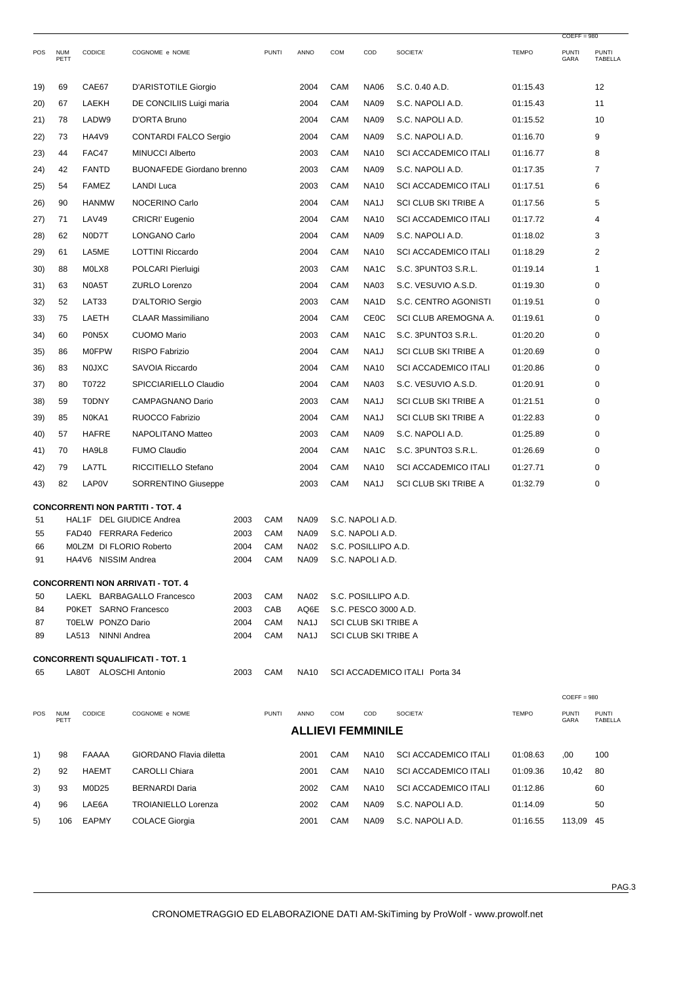|          |                    |                                 |                                          |              |              |                            |            |                                      |                               |              | $COEFF = 980$        |                         |
|----------|--------------------|---------------------------------|------------------------------------------|--------------|--------------|----------------------------|------------|--------------------------------------|-------------------------------|--------------|----------------------|-------------------------|
| POS      | <b>NUM</b><br>PETT | CODICE                          | COGNOME e NOME                           |              | <b>PUNTI</b> | ANNO                       | <b>COM</b> | COD                                  | SOCIETA'                      | <b>TEMPO</b> | <b>PUNTI</b><br>GARA | <b>PUNTI</b><br>TABELLA |
| 19)      | 69                 | CAE67                           | D'ARISTOTILE Giorgio                     |              |              | 2004                       | CAM        | <b>NA06</b>                          | S.C. 0.40 A.D.                | 01:15.43     |                      | 12                      |
| 20)      | 67                 | LAEKH                           | DE CONCILIIS Luigi maria                 |              |              | 2004                       | CAM        | <b>NA09</b>                          | S.C. NAPOLI A.D.              | 01:15.43     |                      | 11                      |
| 21)      | 78                 | LADW9                           | D'ORTA Bruno                             |              |              | 2004                       | CAM        | <b>NA09</b>                          | S.C. NAPOLI A.D.              | 01:15.52     |                      | 10                      |
| 22)      | 73                 | HA4V9                           | <b>CONTARDI FALCO Sergio</b>             |              |              | 2004                       | CAM        | <b>NA09</b>                          | S.C. NAPOLI A.D.              | 01:16.70     |                      | 9                       |
| 23)      | 44                 | FAC47                           | <b>MINUCCI Alberto</b>                   |              |              | 2003                       | CAM        | <b>NA10</b>                          | <b>SCI ACCADEMICO ITALI</b>   | 01:16.77     |                      | 8                       |
| 24)      | 42                 | <b>FANTD</b>                    | <b>BUONAFEDE Giordano brenno</b>         |              |              | 2003                       | CAM        | <b>NA09</b>                          | S.C. NAPOLI A.D.              | 01:17.35     |                      | 7                       |
| 25)      | 54                 | <b>FAMEZ</b>                    | <b>LANDI Luca</b>                        |              |              | 2003                       | CAM        | <b>NA10</b>                          | <b>SCI ACCADEMICO ITALI</b>   | 01:17.51     |                      | 6                       |
| 26)      | 90                 | <b>HANMW</b>                    | NOCERINO Carlo                           |              |              | 2004                       | CAM        | NA <sub>1</sub> J                    | <b>SCI CLUB SKI TRIBE A</b>   | 01:17.56     |                      | 5                       |
| 27)      | 71                 | <b>LAV49</b>                    | <b>CRICRI'</b> Eugenio                   |              |              | 2004                       | CAM        | <b>NA10</b>                          | <b>SCI ACCADEMICO ITALI</b>   | 01:17.72     |                      | 4                       |
| 28)      | 62                 | N0D7T                           | LONGANO Carlo                            |              |              | 2004                       | CAM        | <b>NA09</b>                          | S.C. NAPOLI A.D.              | 01:18.02     |                      | 3                       |
| 29)      | 61                 | LA5ME                           | <b>LOTTINI Riccardo</b>                  |              |              | 2004                       | CAM        | <b>NA10</b>                          | <b>SCI ACCADEMICO ITALI</b>   | 01:18.29     |                      | $\overline{2}$          |
| 30)      | 88                 | M0LX8                           | POLCARI Pierluigi                        |              |              | 2003                       | CAM        | NA <sub>1</sub> C                    | S.C. 3PUNTO3 S.R.L.           | 01:19.14     |                      | 1                       |
| 31)      | 63                 | N0A5T                           | <b>ZURLO Lorenzo</b>                     |              |              | 2004                       | CAM        | <b>NA03</b>                          | S.C. VESUVIO A.S.D.           | 01:19.30     |                      | 0                       |
| 32)      | 52                 | LAT33                           | D'ALTORIO Sergio                         |              |              | 2003                       | CAM        | NA <sub>1</sub> D                    | S.C. CENTRO AGONISTI          | 01:19.51     |                      | 0                       |
| 33)      | 75                 | LAETH                           | <b>CLAAR Massimiliano</b>                |              |              | 2004                       | CAM        | <b>CE0C</b>                          | SCI CLUB AREMOGNA A.          | 01:19.61     |                      | 0                       |
| 34)      | 60                 | P0N5X                           | <b>CUOMO Mario</b>                       |              |              | 2003                       | CAM        | NA <sub>1</sub> C                    | S.C. 3PUNTO3 S.R.L.           | 01:20.20     |                      | 0                       |
| 35)      | 86                 | <b>M0FPW</b>                    | <b>RISPO Fabrizio</b>                    |              |              | 2004                       | CAM        | NA1J                                 | SCI CLUB SKI TRIBE A          | 01:20.69     |                      | 0                       |
| 36)      | 83                 | <b>NOJXC</b>                    | SAVOIA Riccardo                          |              |              | 2004                       | CAM        | <b>NA10</b>                          | <b>SCI ACCADEMICO ITALI</b>   | 01:20.86     |                      | 0                       |
| 37)      | 80                 | T0722                           | SPICCIARIELLO Claudio                    |              |              | 2004                       | CAM        | <b>NA03</b>                          | S.C. VESUVIO A.S.D.           | 01:20.91     |                      | 0                       |
| 38)      | 59                 | <b>T0DNY</b>                    | <b>CAMPAGNANO Dario</b>                  |              |              | 2003                       | CAM        | NA <sub>1</sub> J                    | <b>SCI CLUB SKI TRIBE A</b>   | 01:21.51     |                      | 0                       |
| 39)      | 85                 | N0KA1                           | RUOCCO Fabrizio                          |              |              | 2004                       | CAM        | NA1J                                 | <b>SCI CLUB SKI TRIBE A</b>   | 01:22.83     |                      | 0                       |
| 40)      | 57                 | <b>HAFRE</b>                    | NAPOLITANO Matteo                        |              |              | 2003                       | CAM        | <b>NA09</b>                          | S.C. NAPOLI A.D.              | 01:25.89     |                      | 0                       |
| 41)      | 70                 | HA9L8                           | <b>FUMO Claudio</b>                      |              |              | 2004                       | CAM        | NA <sub>1</sub> C                    | S.C. 3PUNTO3 S.R.L.           | 01:26.69     |                      | 0                       |
| 42)      | 79                 | LA7TL                           | RICCITIELLO Stefano                      |              |              | 2004                       | CAM        | <b>NA10</b>                          | <b>SCI ACCADEMICO ITALI</b>   | 01:27.71     |                      | 0                       |
| 43)      | 82                 | LAP0V                           | <b>SORRENTINO Giuseppe</b>               |              |              | 2003                       | CAM        | NA1J                                 | <b>SCI CLUB SKI TRIBE A</b>   | 01:32.79     |                      | 0                       |
|          |                    |                                 |                                          |              |              |                            |            |                                      |                               |              |                      |                         |
|          |                    |                                 | <b>CONCORRENTI NON PARTITI - TOT. 4</b>  |              |              |                            |            |                                      |                               |              |                      |                         |
| 51<br>55 |                    | HAL1F<br>FAD40 FERRARA Federico | DEL GIUDICE Andrea                       | 2003<br>2003 | CAM<br>CAM   | <b>NA09</b><br><b>NA09</b> |            | S.C. NAPOLI A.D.<br>S.C. NAPOLI A.D. |                               |              |                      |                         |
| 66       |                    | M0LZM DI FLORIO Roberto         |                                          | 2004         | CAM          | <b>NA02</b>                |            | S.C. POSILLIPO A.D.                  |                               |              |                      |                         |
| 91       |                    | HA4V6 NISSIM Andrea             |                                          | 2004         | CAM          | <b>NA09</b>                |            | S.C. NAPOLI A.D.                     |                               |              |                      |                         |
|          |                    |                                 | <b>CONCORRENTI NON ARRIVATI - TOT. 4</b> |              |              |                            |            |                                      |                               |              |                      |                         |
| 50       |                    |                                 | LAEKL BARBAGALLO Francesco               | 2003         | CAM          | <b>NA02</b>                |            | S.C. POSILLIPO A.D.                  |                               |              |                      |                         |
| 84       |                    | P0KET SARNO Francesco           |                                          | 2003         | CAB          | AQ6E                       |            | S.C. PESCO 3000 A.D.                 |                               |              |                      |                         |
| 87       |                    | T0ELW PONZO Dario               |                                          | 2004         | CAM          | NA1J                       |            | <b>SCI CLUB SKI TRIBE A</b>          |                               |              |                      |                         |
| 89       |                    | NINNI Andrea<br>LA513           |                                          | 2004         | CAM          | NA1J                       |            | SCI CLUB SKI TRIBE A                 |                               |              |                      |                         |
|          |                    |                                 | <b>CONCORRENTI SQUALIFICATI - TOT. 1</b> |              |              |                            |            |                                      |                               |              |                      |                         |
| 65       |                    | LA80T ALOSCHI Antonio           |                                          | 2003         | CAM          | <b>NA10</b>                |            |                                      | SCI ACCADEMICO ITALI Porta 34 |              |                      |                         |
|          |                    |                                 |                                          |              |              |                            |            |                                      |                               |              | $COEFF = 980$        |                         |
| POS      | <b>NUM</b><br>PETT | CODICE                          | COGNOME e NOME                           |              | <b>PUNTI</b> | ANNO                       | <b>COM</b> | COD                                  | SOCIETA'                      | <b>TEMPO</b> | <b>PUNTI</b><br>GARA | <b>PUNTI</b><br>TABELLA |
|          |                    |                                 |                                          |              |              |                            |            | <b>ALLIEVI FEMMINILE</b>             |                               |              |                      |                         |
| 1)       | 98                 | FAAAA                           | GIORDANO Flavia diletta                  |              |              | 2001                       | CAM        | NA10                                 | <b>SCI ACCADEMICO ITALI</b>   | 01:08.63     | ,00                  | 100                     |
| 2)       | 92                 | HAEMT                           | <b>CAROLLI Chiara</b>                    |              |              | 2001                       | CAM        | <b>NA10</b>                          | <b>SCI ACCADEMICO ITALI</b>   | 01:09.36     | 10,42                | 80                      |
| 3)       | 93                 | M0D25                           | <b>BERNARDI Daria</b>                    |              |              | 2002                       | CAM        | NA10                                 | <b>SCI ACCADEMICO ITALI</b>   | 01:12.86     |                      | 60                      |
| 4)       | 96                 | LAE6A                           | <b>TROIANIELLO Lorenza</b>               |              |              | 2002                       | CAM        | NA09                                 | S.C. NAPOLI A.D.              | 01:14.09     |                      | 50                      |
| 5)       | 106                | EAPMY                           | <b>COLACE Giorgia</b>                    |              |              | 2001                       | CAM        | <b>NA09</b>                          | S.C. NAPOLI A.D.              | 01:16.55     | 113,09 45            |                         |
|          |                    |                                 |                                          |              |              |                            |            |                                      |                               |              |                      |                         |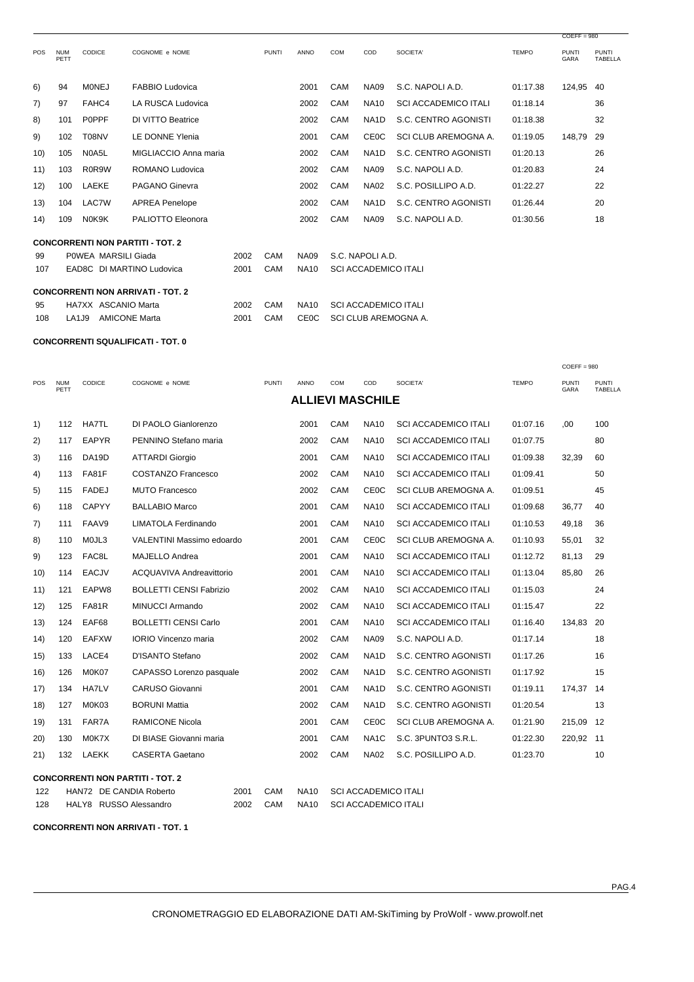|            |                    |                     |                                          |      |              |             |                             |                             |                             |              | $CDEFF = 980$               |                                |
|------------|--------------------|---------------------|------------------------------------------|------|--------------|-------------|-----------------------------|-----------------------------|-----------------------------|--------------|-----------------------------|--------------------------------|
| <b>POS</b> | <b>NUM</b><br>PETT | CODICE              | COGNOME e NOME                           |      | <b>PUNTI</b> | <b>ANNO</b> | <b>COM</b>                  | COD                         | SOCIETA'                    | <b>TEMPO</b> | <b>PUNTI</b><br><b>GARA</b> | <b>PUNTI</b><br><b>TABELLA</b> |
| 6)         | 94                 | <b>MONEJ</b>        | <b>FABBIO Ludovica</b>                   |      |              | 2001        | CAM                         | <b>NA09</b>                 | S.C. NAPOLI A.D.            | 01:17.38     | 124,95                      | 40                             |
| 7)         | 97                 | FAHC4               | LA RUSCA Ludovica                        |      |              | 2002        | CAM                         | <b>NA10</b>                 | <b>SCI ACCADEMICO ITALI</b> | 01:18.14     |                             | 36                             |
| 8)         | 101                | P0PPF               | DI VITTO Beatrice                        |      |              | 2002        | <b>CAM</b>                  | NA <sub>1</sub> D           | S.C. CENTRO AGONISTI        | 01:18.38     |                             | 32                             |
| 9)         | 102                | T08NV               | LE DONNE Ylenia                          |      |              | 2001        | CAM                         | <b>CE0C</b>                 | SCI CLUB AREMOGNA A.        | 01:19.05     | 148,79                      | 29                             |
| 10)        | 105                | N0A5L               | MIGLIACCIO Anna maria                    |      |              | 2002        | CAM                         | NA <sub>1</sub> D           | S.C. CENTRO AGONISTI        | 01:20.13     |                             | 26                             |
| 11)        | 103                | R0R9W               | ROMANO Ludovica                          |      |              | 2002        | CAM                         | <b>NA09</b>                 | S.C. NAPOLI A.D.            | 01:20.83     |                             | 24                             |
| 12)        | 100                | LAEKE               | PAGANO Ginevra                           |      |              | 2002        | CAM                         | <b>NA02</b>                 | S.C. POSILLIPO A.D.         | 01:22.27     |                             | 22                             |
| (13)       | 104                | LAC7W               | <b>APREA Penelope</b>                    |      |              | 2002        | CAM                         | NA <sub>1</sub> D           | S.C. CENTRO AGONISTI        | 01:26.44     |                             | 20                             |
| (14)       | 109                | N0K9K               | PALIOTTO Eleonora                        |      |              | 2002        | CAM                         | <b>NA09</b>                 | S.C. NAPOLI A.D.            | 01:30.56     |                             | 18                             |
|            |                    |                     | <b>CONCORRENTI NON PARTITI - TOT. 2</b>  |      |              |             |                             |                             |                             |              |                             |                                |
| 99         |                    | POWEA MARSILI Giada |                                          | 2002 | CAM          | <b>NA09</b> |                             | S.C. NAPOLI A.D.            |                             |              |                             |                                |
| 107        |                    |                     | EAD8C DI MARTINO Ludovica                | 2001 | CAM          | <b>NA10</b> | <b>SCI ACCADEMICO ITALI</b> |                             |                             |              |                             |                                |
|            |                    |                     | <b>CONCORRENTI NON ARRIVATI - TOT. 2</b> |      |              |             |                             |                             |                             |              |                             |                                |
| 95         |                    | HA7XX ASCANIO Marta |                                          | 2002 | CAM          | <b>NA10</b> |                             | <b>SCI ACCADEMICO ITALI</b> |                             |              |                             |                                |
| 108        | <b>LA1J9</b>       |                     | <b>AMICONE Marta</b>                     | 2001 | CAM          | <b>CE0C</b> | SCI CLUB AREMOGNA A.        |                             |                             |              |                             |                                |

**CONCORRENTI SQUALIFICATI - TOT. 0** 

| <b>POS</b> | <b>NUM</b><br>PETT | <b>CODICE</b>           | COGNOME e NOME                          |      | <b>PUNTI</b> | <b>ANNO</b> | <b>COM</b>                  | COD                     | SOCIETA'                    | <b>TEMPO</b> | <b>PUNTI</b><br>GARA | <b>PUNTI</b><br><b>TABELLA</b> |
|------------|--------------------|-------------------------|-----------------------------------------|------|--------------|-------------|-----------------------------|-------------------------|-----------------------------|--------------|----------------------|--------------------------------|
|            |                    |                         |                                         |      |              |             |                             | <b>ALLIEVI MASCHILE</b> |                             |              |                      |                                |
| 1)         | 112                | <b>HA7TL</b>            | DI PAOLO Gianlorenzo                    |      |              | 2001        | CAM                         | <b>NA10</b>             | <b>SCI ACCADEMICO ITALI</b> | 01:07.16     | .00                  | 100                            |
| 2)         | 117                | <b>EAPYR</b>            | PENNINO Stefano maria                   |      |              | 2002        | CAM                         | <b>NA10</b>             | <b>SCI ACCADEMICO ITALI</b> | 01:07.75     |                      | 80                             |
| 3)         | 116                | DA <sub>19</sub> D      | <b>ATTARDI Giorgio</b>                  |      |              | 2001        | CAM                         | <b>NA10</b>             | <b>SCI ACCADEMICO ITALI</b> | 01:09.38     | 32,39                | 60                             |
| 4)         | 113                | FA81F                   | <b>COSTANZO Francesco</b>               |      |              | 2002        | CAM                         | <b>NA10</b>             | <b>SCI ACCADEMICO ITALI</b> | 01:09.41     |                      | 50                             |
| 5)         | 115                | <b>FADEJ</b>            | <b>MUTO Francesco</b>                   |      |              | 2002        | CAM                         | <b>CE0C</b>             | SCI CLUB AREMOGNA A.        | 01:09.51     |                      | 45                             |
| 6)         | 118                | <b>CAPYY</b>            | <b>BALLABIO Marco</b>                   |      |              | 2001        | CAM                         | <b>NA10</b>             | <b>SCI ACCADEMICO ITALI</b> | 01:09.68     | 36,77                | 40                             |
| 7)         | 111                | FAAV9                   | LIMATOLA Ferdinando                     |      |              | 2001        | CAM                         | <b>NA10</b>             | <b>SCI ACCADEMICO ITALI</b> | 01:10.53     | 49,18                | 36                             |
| 8)         | 110                | MOJL3                   | VALENTINI Massimo edoardo               |      |              | 2001        | CAM                         | CEOC                    | SCI CLUB AREMOGNA A.        | 01:10.93     | 55,01                | 32                             |
| 9)         | 123                | FAC8L                   | <b>MAJELLO Andrea</b>                   |      |              | 2001        | CAM                         | <b>NA10</b>             | <b>SCI ACCADEMICO ITALI</b> | 01:12.72     | 81,13                | 29                             |
| 10)        | 114                | <b>EACJV</b>            | ACQUAVIVA Andreavittorio                |      |              | 2001        | CAM                         | <b>NA10</b>             | <b>SCI ACCADEMICO ITALI</b> | 01:13.04     | 85,80                | 26                             |
| 11)        | 121                | EAPW8                   | <b>BOLLETTI CENSI Fabrizio</b>          |      |              | 2002        | CAM                         | <b>NA10</b>             | <b>SCI ACCADEMICO ITALI</b> | 01:15.03     |                      | 24                             |
| 12)        | 125                | FA81R                   | MINUCCI Armando                         |      |              | 2002        | CAM                         | <b>NA10</b>             | <b>SCI ACCADEMICO ITALI</b> | 01:15.47     |                      | 22                             |
| (13)       | 124                | EAF68                   | <b>BOLLETTI CENSI Carlo</b>             |      |              | 2001        | CAM                         | <b>NA10</b>             | <b>SCI ACCADEMICO ITALI</b> | 01:16.40     | 134,83               | 20                             |
| (14)       | 120                | <b>EAFXW</b>            | <b>IORIO Vincenzo maria</b>             |      |              | 2002        | CAM                         | <b>NA09</b>             | S.C. NAPOLI A.D.            | 01:17.14     |                      | 18                             |
| 15)        | 133                | LACE4                   | D'ISANTO Stefano                        |      |              | 2002        | CAM                         | NA <sub>1</sub> D       | S.C. CENTRO AGONISTI        | 01:17.26     |                      | 16                             |
| 16)        | 126                | M0K07                   | CAPASSO Lorenzo pasquale                |      |              | 2002        | CAM                         | NA <sub>1</sub> D       | S.C. CENTRO AGONISTI        | 01:17.92     |                      | 15                             |
| 17)        | 134                | <b>HA7LV</b>            | CARUSO Giovanni                         |      |              | 2001        | CAM                         | NA <sub>1</sub> D       | S.C. CENTRO AGONISTI        | 01:19.11     | 174,37               | 14                             |
| 18)        | 127                | M0K03                   | <b>BORUNI Mattia</b>                    |      |              | 2002        | CAM                         | NA <sub>1</sub> D       | S.C. CENTRO AGONISTI        | 01:20.54     |                      | 13                             |
| 19)        | 131                | FAR7A                   | <b>RAMICONE Nicola</b>                  |      |              | 2001        | CAM                         | <b>CE0C</b>             | SCI CLUB AREMOGNA A.        | 01:21.90     | 215,09               | 12                             |
| (20)       | 130                | M0K7X                   | DI BIASE Giovanni maria                 |      |              | 2001        | CAM                         | NA <sub>1</sub> C       | S.C. 3PUNTO3 S.R.L.         | 01:22.30     | 220,92               | - 11                           |
| 21)        | 132                | LAEKK                   | <b>CASERTA Gaetano</b>                  |      |              | 2002        | CAM                         | <b>NA02</b>             | S.C. POSILLIPO A.D.         | 01:23.70     |                      | 10                             |
|            |                    |                         | <b>CONCORRENTI NON PARTITI - TOT. 2</b> |      |              |             |                             |                         |                             |              |                      |                                |
| 122        |                    | HAN72 DE CANDIA Roberto |                                         | 2001 | CAM          | <b>NA10</b> | <b>SCI ACCADEMICO ITALI</b> |                         |                             |              |                      |                                |
| 128        |                    | HALY8 RUSSO Alessandro  |                                         | 2002 | CAM          | <b>NA10</b> | <b>SCI ACCADEMICO ITALI</b> |                         |                             |              |                      |                                |

**CONCORRENTI NON ARRIVATI - TOT. 1** 

 $COEFF = 980$